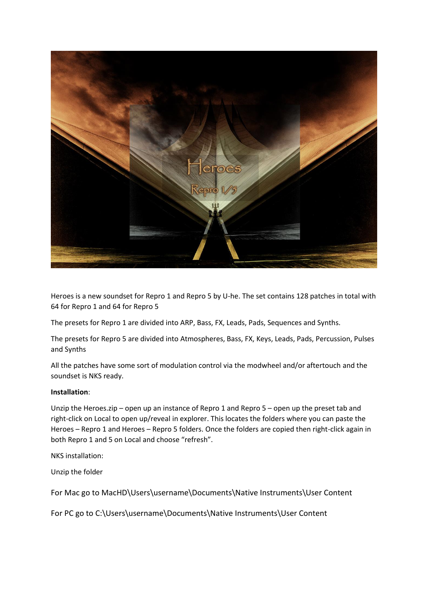

Heroes is a new soundset for Repro 1 and Repro 5 by U-he. The set contains 128 patches in total with 64 for Repro 1 and 64 for Repro 5

The presets for Repro 1 are divided into ARP, Bass, FX, Leads, Pads, Sequences and Synths.

The presets for Repro 5 are divided into Atmospheres, Bass, FX, Keys, Leads, Pads, Percussion, Pulses and Synths

All the patches have some sort of modulation control via the modwheel and/or aftertouch and the soundset is NKS ready.

## **Installation**:

Unzip the Heroes.zip – open up an instance of Repro 1 and Repro 5 – open up the preset tab and right-click on Local to open up/reveal in explorer. This locates the folders where you can paste the Heroes – Repro 1 and Heroes – Repro 5 folders. Once the folders are copied then right-click again in both Repro 1 and 5 on Local and choose "refresh".

NKS installation:

Unzip the folder

For Mac go to MacHD\Users\username\Documents\Native Instruments\User Content

For PC go to C:\Users\username\Documents\Native Instruments\User Content